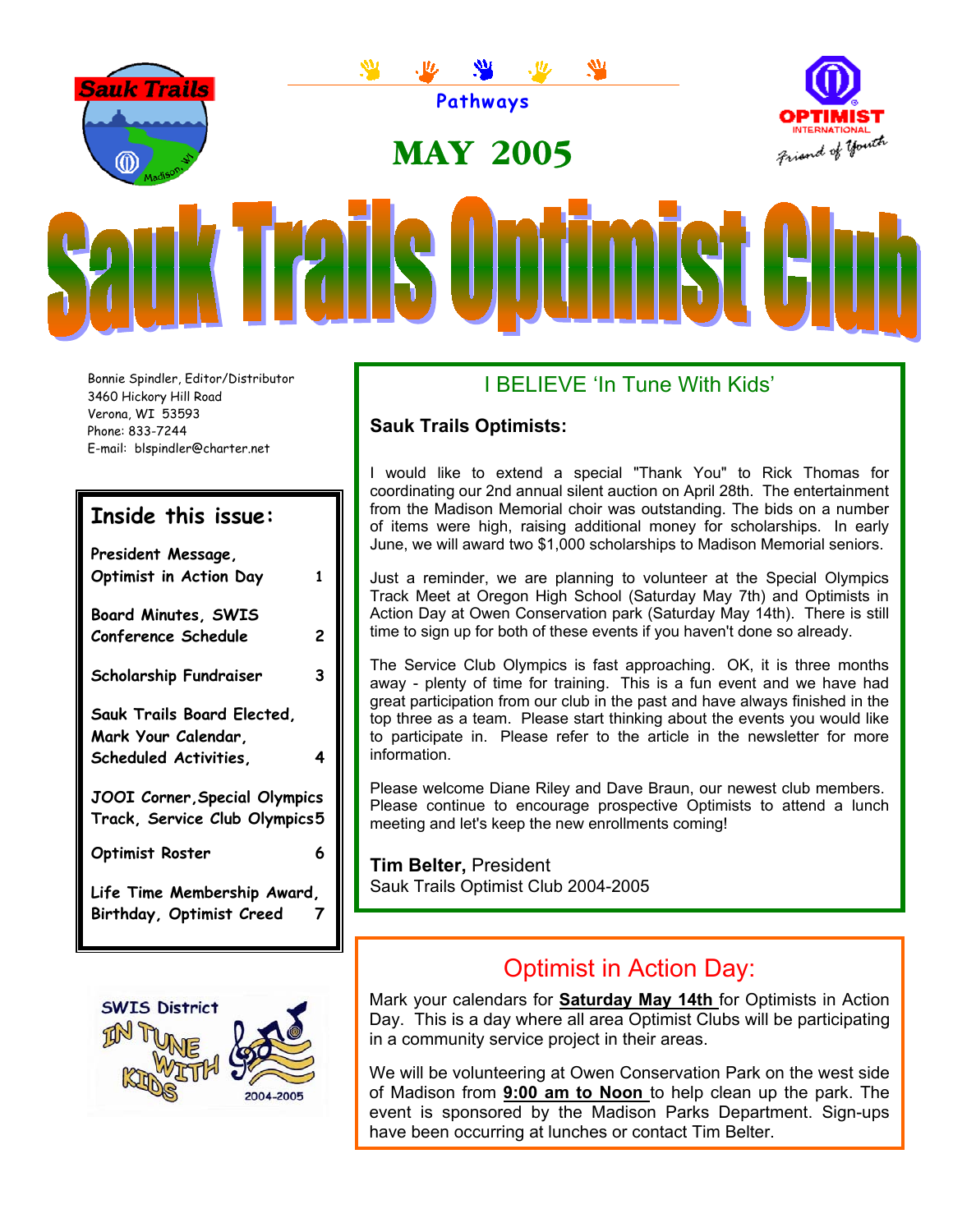

Bonnie Spindler, Editor/Distributor 3460 Hickory Hill Road Verona, WI 53593 Phone: 833-7244 E-mail: blspindler@charter.net

## **Inside this issue:**

| President Message,            |   |
|-------------------------------|---|
| Optimist in Action Day        | 1 |
| <b>Board Minutes, SWIS</b>    |   |
| Conference Schedule           | 2 |
| <b>Scholarship Fundraiser</b> | 3 |
| Sauk Trails Board Elected,    |   |
| Mark Your Calendar,           |   |
| Scheduled Activities,         | 4 |
| JOOI Corner, Special Olympics |   |
| Track, Service Club Olympics5 |   |
| <b>Optimist Roster</b>        | 6 |
| Life Time Membership Award,   |   |
| Birthday, Optimist Creed      |   |



## I BELIEVE 'In Tune With Kids'

#### **Sauk Trails Optimists:**

I would like to extend a special "Thank You" to Rick Thomas for coordinating our 2nd annual silent auction on April 28th. The entertainment from the Madison Memorial choir was outstanding. The bids on a number of items were high, raising additional money for scholarships. In early June, we will award two \$1,000 scholarships to Madison Memorial seniors.

time to sign up for both of these events if you haven't done so already. Just a reminder, we are planning to volunteer at the Special Olympics Track Meet at Oregon High School (Saturday May 7th) and Optimists in Action Day at Owen Conservation park (Saturday May 14th). There is still

The Service Club Olympics is fast approaching. OK, it is three months away - plenty of time for training. This is a fun event and we have had great participation from our club in the past and have always finished in the top three as a team. Please start thinking about the events you would like to participate in. Please refer to the article in the newsletter for more information.

Please welcome Diane Riley and Dave Braun, our newest club members. Please continue to encourage prospective Optimists to attend a lunch meeting and let's keep the new enrollments coming!

**Tim Belter,** President Sauk Trails Optimist Club 2004-2005

# Optimist in Action Day:

Mark your calendars for **Saturday May 14th** for Optimists in Action Day. This is a day where all area Optimist Clubs will be participating in a community service project in their areas.

We will be volunteering at Owen Conservation Park on the west side of Madison from **9:00 am to Noon** to help clean up the park. The event is sponsored by the Madison Parks Department. Sign-ups have been occurring at lunches or contact Tim Belter.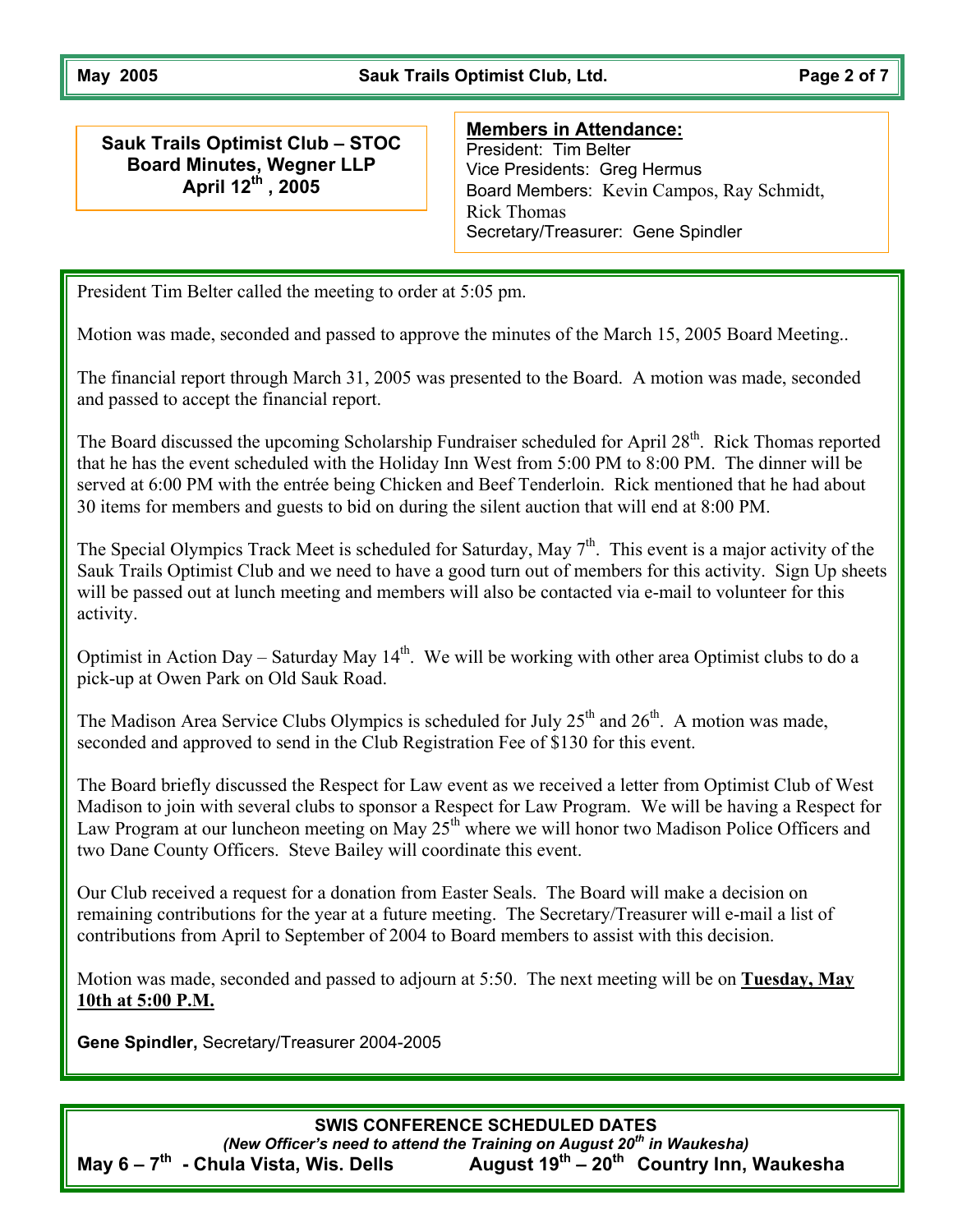May 2005 **May 2005** Sauk Trails Optimist Club, Ltd. **Page 2 of 7** 

**Sauk Trails Optimist Club – STOC Board Minutes, Wegner LLP April 12th , 2005** 

#### **Members in Attendance:**

President: Tim Belter Vice Presidents: Greg Hermus Board Members: Kevin Campos, Ray Schmidt, Rick Thomas Secretary/Treasurer: Gene Spindler

President Tim Belter called the meeting to order at 5:05 pm.

Motion was made, seconded and passed to approve the minutes of the March 15, 2005 Board Meeting..

The financial report through March 31, 2005 was presented to the Board. A motion was made, seconded and passed to accept the financial report.

. 30 items for members and guests to bid on during the silent auction that will end at 8:00 PM The Board discussed the upcoming Scholarship Fundraiser scheduled for April 28<sup>th</sup>. Rick Thomas reported that he has the event scheduled with the Holiday Inn West from 5:00 PM to 8:00 PM. The dinner will be served at 6:00 PM with the entrée being Chicken and Beef Tenderloin. Rick mentioned that he had about

The Special Olympics Track Meet is scheduled for Saturday, May  $7<sup>th</sup>$ . This event is a major activity of the Sauk Trails Optimist Club and we need to have a good turn out of members for this activity. Sign Up sheets will be passed out at lunch meeting and members will also be contacted via e-mail to volunteer for this activity.

Optimist in Action Day – Saturday May  $14<sup>th</sup>$ . We will be working with other area Optimist clubs to do a pick-up at Owen Park on Old Sauk Road.

The Madison Area Service Clubs Olympics is scheduled for July  $25<sup>th</sup>$  and  $26<sup>th</sup>$ . A motion was made, seconded and approved to send in the Club Registration Fee of \$130 for this event.

The Board briefly discussed the Respect for Law event as we received a letter from Optimist Club of West Madison to join with several clubs to sponsor a Respect for Law Program. We will be having a Respect for Law Program at our luncheon meeting on May  $25<sup>th</sup>$  where we will honor two Madison Police Officers and two Dane County Officers. Steve Bailey will coordinate this event.

contributions from April to September of 2004 to Board members to assist with this decision. Our Club received a request for a donation from Easter Seals. The Board will make a decision on remaining contributions for the year at a future meeting. The Secretary/Treasurer will e-mail a list of

Motion was made, seconded and passed to adjourn at 5:50. The next meeting will be on **Tuesday, May 10th at 5:00 P .M.**

**Gene Spindler,** Secretary/Treasurer 2004-2005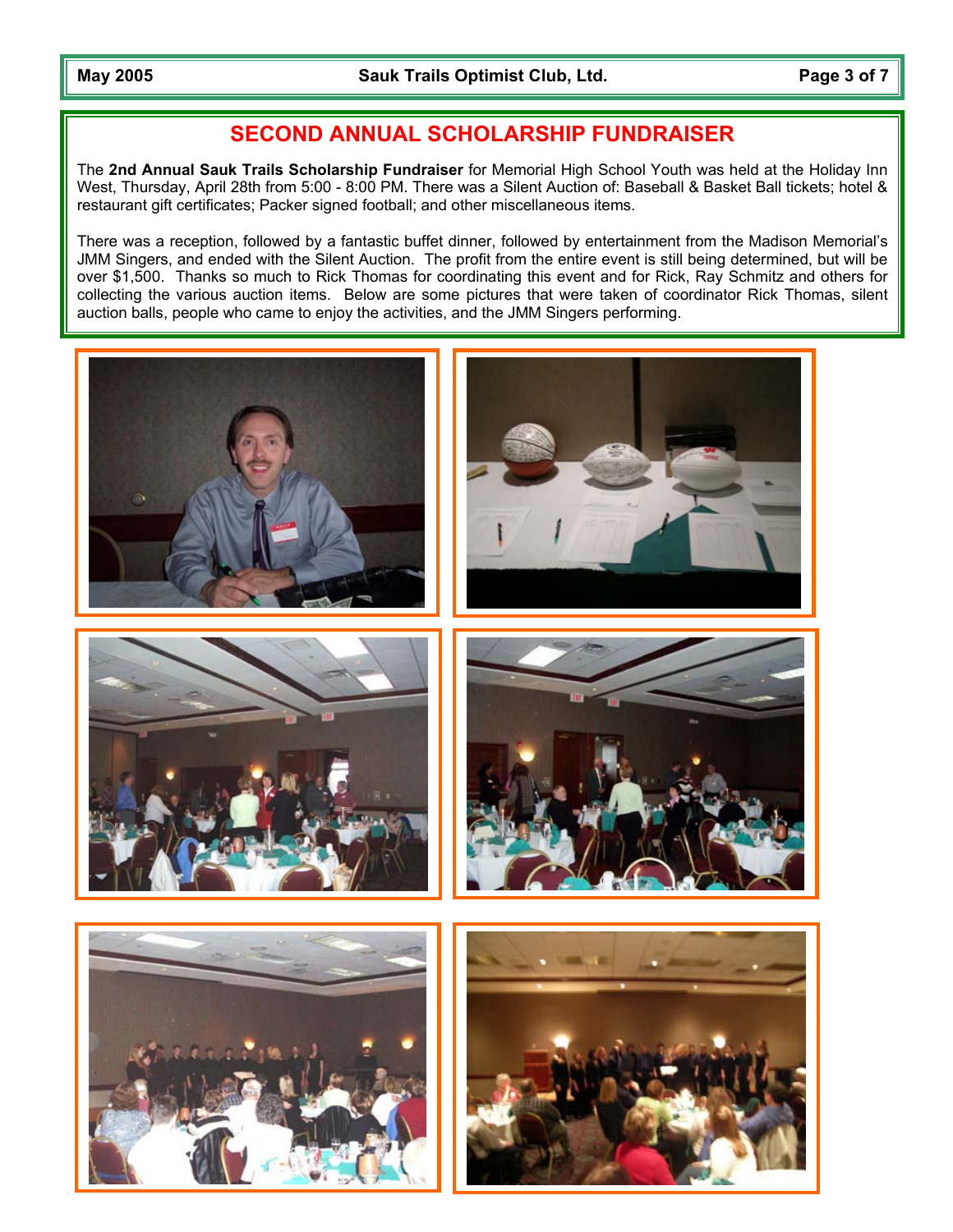## **SECOND ANNUAL SCHOLARSHIP FUNDRAISER**

The **2nd Annual Sauk Trails Scholarship Fundraiser** for Memorial High School Youth was held at the Holiday Inn West, Thursday, April 28th from 5:00 - 8:00 PM. There was a Silent Auction of: Baseball & Basket Ball tickets; hotel & restaurant gift certificates; Packer signed football; and other miscellaneous items.

There was a reception, followed by a fantastic buffet dinner, followed by entertainment from the Madison Memorial's JMM Singers, and ended with the Silent Auction. The profit from the entire event is still being determined, but will be over \$1,500. Thanks so much to Rick Thomas for coordinating this event and for Rick, Ray Schmitz and others for collecting the various auction items. Below are some pictures that were taken of coordinator Rick Thomas, silent auction balls, people who came to enjoy the activities, and the JMM Singers performing.

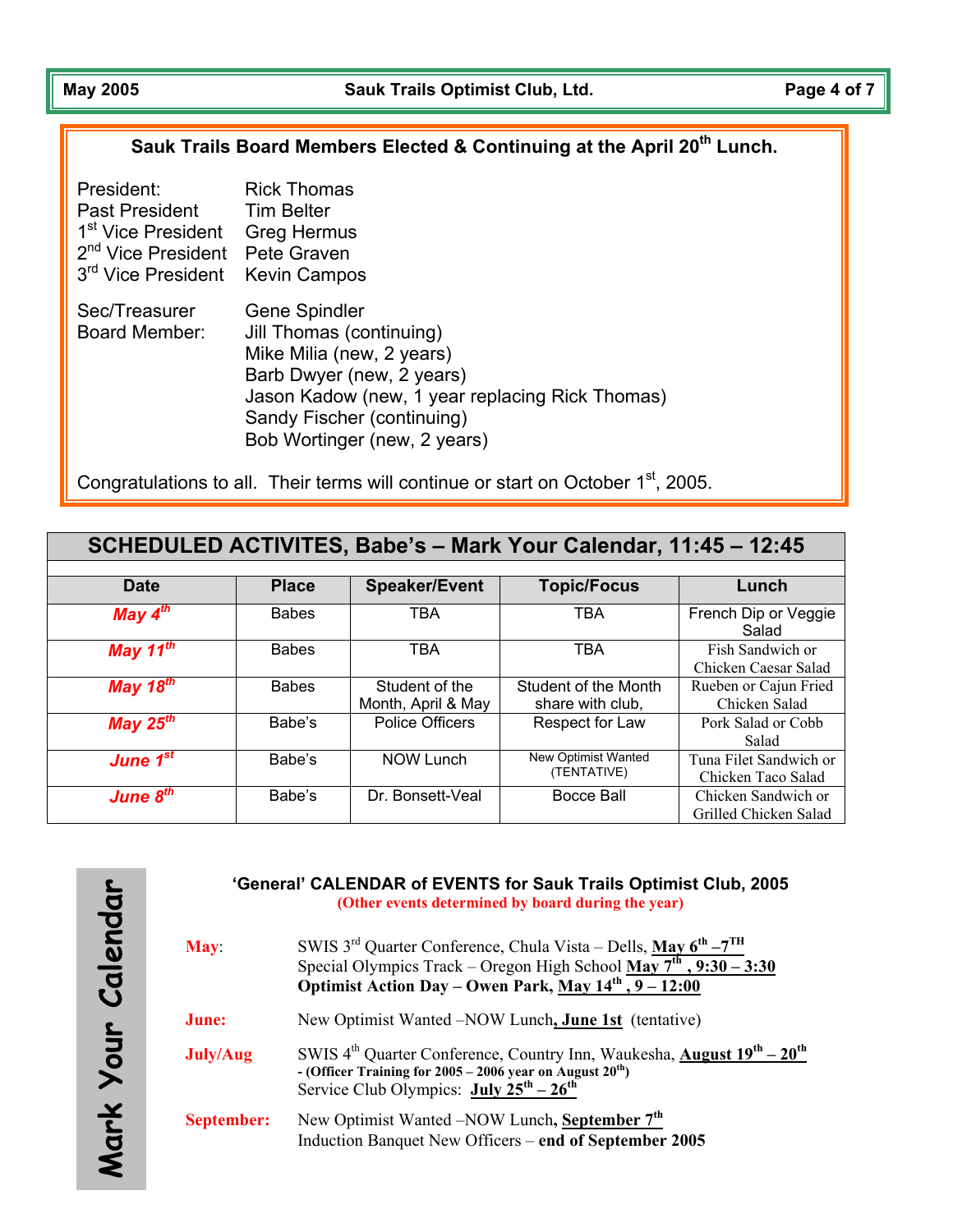### Sauk Trails Board Members Elected & Continuing at the April 20<sup>th</sup> Lunch.

| President:                     | <b>Rick Thomas</b>                                                                                                                                                                                                   |
|--------------------------------|----------------------------------------------------------------------------------------------------------------------------------------------------------------------------------------------------------------------|
| Past President                 | <b>Tim Belter</b>                                                                                                                                                                                                    |
| 1 <sup>st</sup> Vice President | Greg Hermus                                                                                                                                                                                                          |
| 2 <sup>nd</sup> Vice President | Pete Graven                                                                                                                                                                                                          |
| 3rd Vice President             | <b>Kevin Campos</b>                                                                                                                                                                                                  |
| Sec/Treasurer<br>Board Member: | Gene Spindler<br>Jill Thomas (continuing)<br>Mike Milia (new, 2 years)<br>Barb Dwyer (new, 2 years)<br>Jason Kadow (new, 1 year replacing Rick Thomas)<br>Sandy Fischer (continuing)<br>Bob Wortinger (new, 2 years) |

Congratulations to all. Their terms will continue or start on October  $1<sup>st</sup>$ , 2005.

|                      |              |                                      | SCHEDULED ACTIVITES, Babe's - Mark Your Calendar, 11:45 - 12:45 |                                              |
|----------------------|--------------|--------------------------------------|-----------------------------------------------------------------|----------------------------------------------|
|                      |              |                                      |                                                                 |                                              |
| <b>Date</b>          | <b>Place</b> | <b>Speaker/Event</b>                 | <b>Topic/Focus</b>                                              | Lunch                                        |
| May $4^{th}$         | <b>Babes</b> | <b>TBA</b>                           | <b>TBA</b>                                                      | French Dip or Veggie<br>Salad                |
| May 11 $th$          | <b>Babes</b> | <b>TBA</b>                           | <b>TBA</b>                                                      | Fish Sandwich or<br>Chicken Caesar Salad     |
| May 18 $th$          | <b>Babes</b> | Student of the<br>Month, April & May | Student of the Month<br>share with club,                        | Rueben or Cajun Fried<br>Chicken Salad       |
| May $25^{th}$        | Babe's       | <b>Police Officers</b>               | Respect for Law                                                 | Pork Salad or Cobb<br>Salad                  |
| June $1^{st}$        | Babe's       | <b>NOW Lunch</b>                     | New Optimist Wanted<br>(TENTATIVE)                              | Tuna Filet Sandwich or<br>Chicken Taco Salad |
| June 8 <sup>th</sup> | Babe's       | Dr. Bonsett-Veal                     | Bocce Ball                                                      | Chicken Sandwich or<br>Grilled Chicken Salad |

#### **'General' CALENDAR of EVENTS for Sauk Trails Optimist Club, 2005 (Other events determined by board during the year)**

| <b>May</b>        | SWIS $3^{\text{rd}}$ Quarter Conference, Chula Vista – Dells, May $6^{\text{th}} - 7^{\text{TH}}$<br>Special Olympics Track – Oregon High School May $7^{th}$ , 9:30 – 3:30<br>Optimist Action Day – Owen Park, May $14^{th}$ , $9 - 12:00$        |
|-------------------|----------------------------------------------------------------------------------------------------------------------------------------------------------------------------------------------------------------------------------------------------|
| June:             | New Optimist Wanted – NOW Lunch, June 1st (tentative)                                                                                                                                                                                              |
| <b>July/Aug</b>   | SWIS $4^{th}$ Quarter Conference, Country Inn, Waukesha, <b>August <math>19^{th} - 20^{th}</math></b><br>- (Officer Training for $2005 - 2006$ year on August $20^{th}$ )<br>Service Club Olympics: $\text{July } 25^{\text{th}} - 26^{\text{th}}$ |
| <b>September:</b> | New Optimist Wanted – NOW Lunch, September 7 <sup>th</sup><br>Induction Banquet New Officers – end of September 2005                                                                                                                               |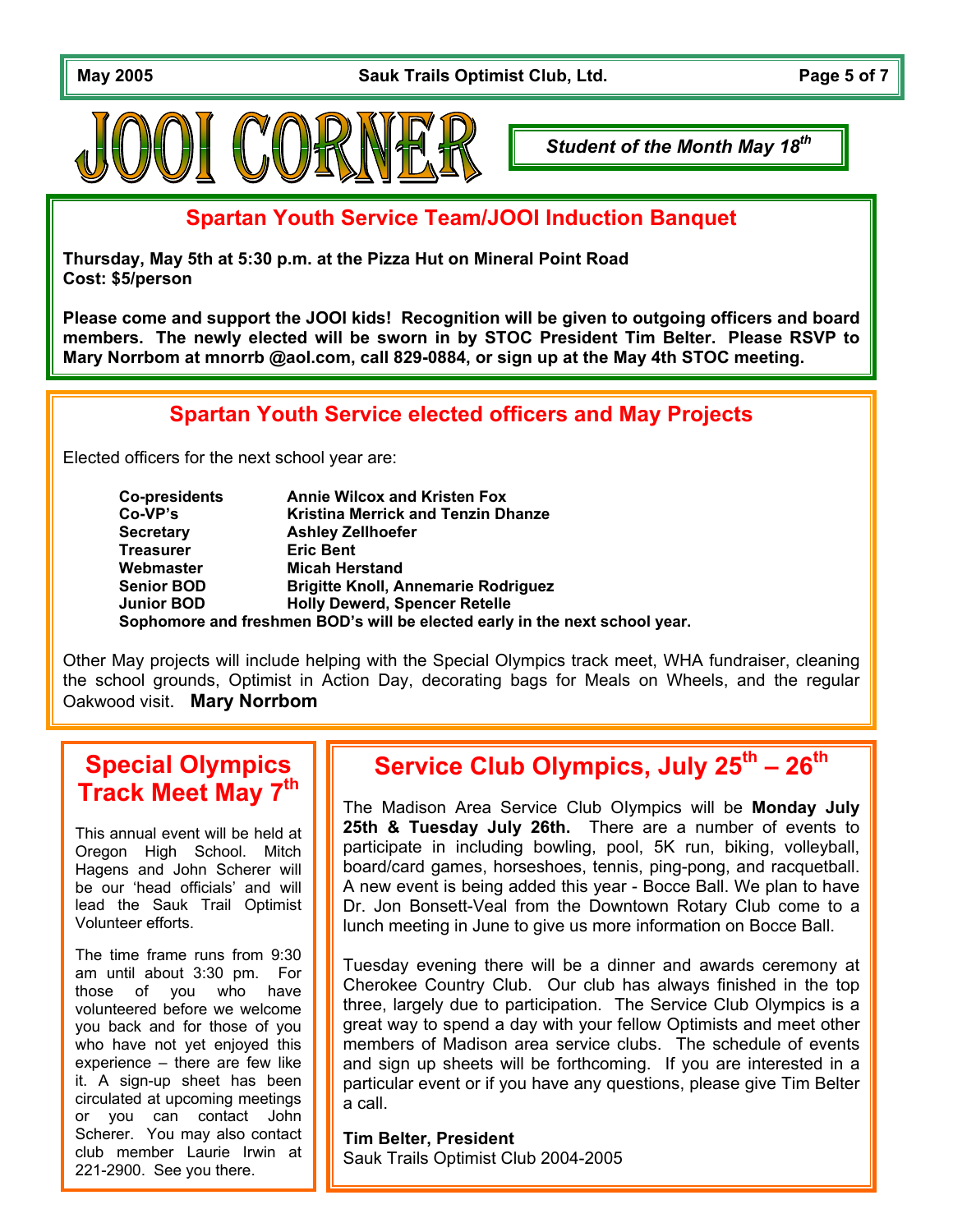May 2005 **May 2005** Sauk Trails Optimist Club, Ltd. **Page 5 of 7** 



*Student of the Month May 18th*

**Spartan Youth Service Team/JOOI Induction Banquet**

**Thursday, May 5th at 5:30 p.m. at the Pizza Hut on Mineral Point Road Cost: \$5/person**

**Please come and support the JOOI kids! Recognition will be given to outgoing officers and board members. The newly elected will be sworn in by STOC President Tim Belter. Please RSVP to Mary Norrbom at mnorrb @aol.com, call 829-0884, or sign up at the May 4th STOC meeting.**

# **Spartan Youth Service elected officers and May Projects**

Elected officers for the next school year are:

| Co-presidents     | <b>Annie Wilcox and Kristen Fox</b>                                         |
|-------------------|-----------------------------------------------------------------------------|
| Co-VP's           | <b>Kristina Merrick and Tenzin Dhanze</b>                                   |
| <b>Secretary</b>  | <b>Ashley Zellhoefer</b>                                                    |
| <b>Treasurer</b>  | <b>Eric Bent</b>                                                            |
| Webmaster         | <b>Micah Herstand</b>                                                       |
| <b>Senior BOD</b> | <b>Brigitte Knoll, Annemarie Rodriguez</b>                                  |
| <b>Junior BOD</b> | <b>Holly Dewerd, Spencer Retelle</b>                                        |
|                   | Sophomore and freshmen BOD's will be elected early in the next school year. |

Other May projects will include helping with the Special Olympics track meet, WHA fundraiser, cleaning the school grounds, Optimist in Action Day, decorating bags for Meals on Wheels, and the regular Oakwood visit. **Mary Norrbom** 

# **Special Olympics Track Meet May 7th**

This annual event will be held at Oregon High School. Mitch Hagens and John Scherer will be our 'head officials' and will lead the Sauk Trail Optimist Volunteer efforts.

The time frame runs from 9:30 am until about 3:30 pm. For those of you who have volunteered before we welcome you back and for those of you who have not yet enjoyed this experience – there are few like it. A sign-up sheet has been circulated at upcoming meetings or you can contact John Scherer. You may also contact club member Laurie Irwin at 221-2900. See you there.

# **Service Club Olympics, July 25th – 26th**

The Madison Area Service Club OIympics will be **Monday July 25th & Tuesday July 26th.** There are a number of events to participate in including bowling, pool, 5K run, biking, volleyball, board/card games, horseshoes, tennis, ping-pong, and racquetball. A new event is being added this year - Bocce Ball. We plan to have Dr. Jon Bonsett-Veal from the Downtown Rotary Club come to a lunch meeting in June to give us more information on Bocce Ball.

Tuesday evening there will be a dinner and awards ceremony at Cherokee Country Club. Our club has always finished in the top three, largely due to participation. The Service Club Olympics is a great way to spend a day with your fellow Optimists and meet other members of Madison area service clubs. The schedule of events and sign up sheets will be forthcoming. If you are interested in a particular event or if you have any questions, please give Tim Belter a call.

**Tim Belter, President**  Sauk Trails Optimist Club 2004-2005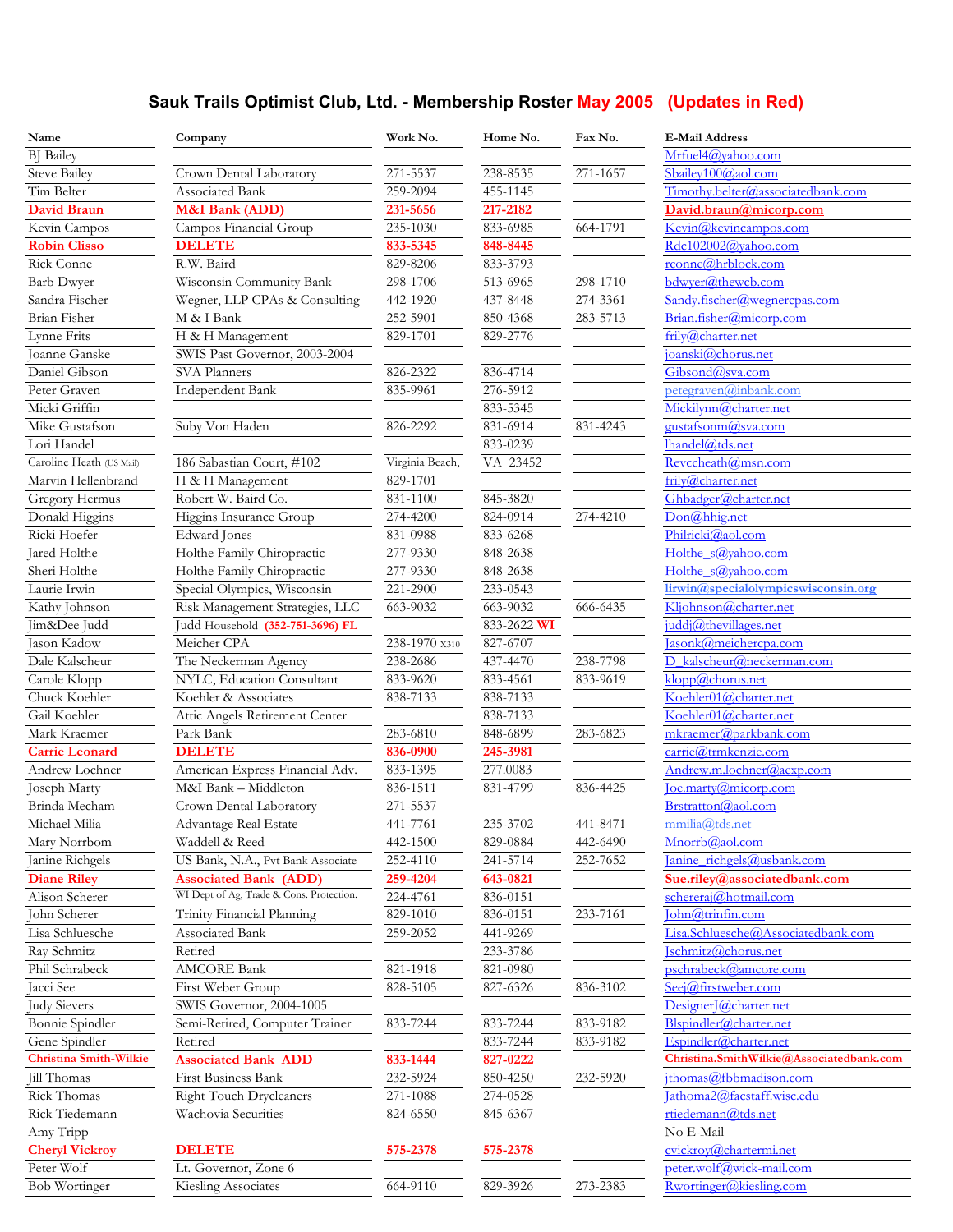## **Sauk Trails Optimist Club, Ltd. - Membership Roster May 2005 (Updates in Red)**

| Name                          | Company                                  | Work No.        | Home No.    | Fax No.  | <b>E-Mail Address</b>                    |
|-------------------------------|------------------------------------------|-----------------|-------------|----------|------------------------------------------|
| <b>BJ</b> Bailey              |                                          |                 |             |          | Mrfuel4@vahoo.com                        |
| <b>Steve Bailey</b>           | Crown Dental Laboratory                  | 271-5537        | 238-8535    | 271-1657 | Sbailey100@aol.com                       |
| Tim Belter                    | Associated Bank                          | 259-2094        | 455-1145    |          | Timothy.belter@associatedbank.com        |
| <b>David Braun</b>            | M&I Bank (ADD)                           | 231-5656        | 217-2182    |          | David.braun@micorp.com                   |
| Kevin Campos                  | Campos Financial Group                   | 235-1030        | 833-6985    | 664-1791 | Kevin@kevincampos.com                    |
| <b>Robin Clisso</b>           | <b>DELETE</b>                            | 833-5345        | 848-8445    |          | Rdc102002@yahoo.com                      |
| Rick Conne                    | R.W. Baird                               | 829-8206        | 833-3793    |          | rconne@hrblock.com                       |
| <b>Barb Dwyer</b>             | Wisconsin Community Bank                 | 298-1706        | 513-6965    | 298-1710 | bdwyer@thewcb.com                        |
| Sandra Fischer                | Wegner, LLP CPAs & Consulting            | 442-1920        | 437-8448    | 274-3361 | Sandy.fischer@wegnercpas.com             |
| Brian Fisher                  | M & I Bank                               | 252-5901        | 850-4368    | 283-5713 | Brian.fisher@micorp.com                  |
| Lynne Frits                   | H & H Management                         | 829-1701        | 829-2776    |          | frily@charter.net                        |
| Joanne Ganske                 | SWIS Past Governor, 2003-2004            |                 |             |          | joanski@chorus.net                       |
| Daniel Gibson                 | <b>SVA Planners</b>                      | 826-2322        | 836-4714    |          | Gibsond@sva.com                          |
| Peter Graven                  | Independent Bank                         | 835-9961        | 276-5912    |          | petegraven@inbank.com                    |
| Micki Griffin                 |                                          |                 | 833-5345    |          | Mickilynn@charter.net                    |
| Mike Gustafson                | Suby Von Haden                           | 826-2292        | 831-6914    | 831-4243 | gustafsonm@sva.com                       |
| Lori Handel                   |                                          |                 | 833-0239    |          | lhandel@tds.net                          |
| Caroline Heath (US Mail)      | 186 Sabastian Court, #102                | Virginia Beach, | VA 23452    |          | Revccheath@msn.com                       |
| Marvin Hellenbrand            | H & H Management                         | 829-1701        |             |          | frily@charter.net                        |
| Gregory Hermus                | Robert W. Baird Co.                      | 831-1100        | 845-3820    |          | Ghbadger@charter.net                     |
| Donald Higgins                | Higgins Insurance Group                  | 274-4200        | 824-0914    | 274-4210 | Don@hhig.net                             |
| Ricki Hoefer                  | <b>Edward</b> Jones                      | 831-0988        | 833-6268    |          | Philricki@aol.com                        |
| Jared Holthe                  | Holthe Family Chiropractic               | 277-9330        | 848-2638    |          | Holthe s@yahoo.com                       |
| Sheri Holthe                  | Holthe Family Chiropractic               | 277-9330        | 848-2638    |          | Holthe s@yahoo.com                       |
| Laurie Irwin                  | Special Olympics, Wisconsin              | 221-2900        | 233-0543    |          | lirwin@specialolympicswisconsin.org      |
| Kathy Johnson                 | Risk Management Strategies, LLC          | 663-9032        | 663-9032    | 666-6435 | Kljohnson@charter.net                    |
| Jim&Dee Judd                  | Judd Household (352-751-3696) FL         |                 | 833-2622 WI |          | juddj@thevillages.net                    |
| Jason Kadow                   | Meicher CPA                              | 238-1970 x310   | 827-6707    |          | asonk@meichercpa.com                     |
| Dale Kalscheur                | The Neckerman Agency                     | 238-2686        | 437-4470    | 238-7798 | D kalscheur@neckerman.com                |
| Carole Klopp                  | NYLC, Education Consultant               | 833-9620        | 833-4561    | 833-9619 | klopp@chorus.net                         |
| Chuck Koehler                 | Koehler & Associates                     | 838-7133        | 838-7133    |          | Koehler01@charter.net                    |
| Gail Koehler                  | Attic Angels Retirement Center           |                 | 838-7133    |          | Koehler01@charter.net                    |
| Mark Kraemer                  | Park Bank                                | 283-6810        | 848-6899    | 283-6823 | mkraemer@parkbank.com                    |
| <b>Carrie Leonard</b>         | <b>DELETE</b>                            | 836-0900        | 245-3981    |          | carrie@trmkenzie.com                     |
| Andrew Lochner                | American Express Financial Adv.          | 833-1395        | 277.0083    |          | Andrew.m.lochner@aexp.com                |
| Joseph Marty                  | M&I Bank - Middleton                     | 836-1511        | 831-4799    | 836-4425 | [oe.martv@micorp.com]                    |
| Brinda Mecham                 | Crown Dental Laboratory                  | 271-5537        |             |          | Brstratton@aol.com                       |
| Michael Milia                 | Advantage Real Estate                    | 441-7761        | 235-3702    | 441-8471 | mmilia@tds.net                           |
| Mary Norrbom                  | Waddell & Reed                           | 442-1500        | 829-0884    | 442-6490 | Mnorrb@aol.com                           |
| Janine Richgels               | US Bank, N.A., Pvt Bank Associate        | 252-4110        | 241-5714    | 252-7652 | Janine richgels@usbank.com               |
| <b>Diane Riley</b>            | <b>Associated Bank (ADD)</b>             | 259-4204        | 643-0821    |          | Sue.riley@associatedbank.com             |
| Alison Scherer                | WI Dept of Ag, Trade & Cons. Protection. | 224-4761        | 836-0151    |          | schereraj@hotmail.com                    |
| John Scherer                  | Trinity Financial Planning               | 829-1010        | 836-0151    | 233-7161 | $\text{John@trinfin.com}$                |
| Lisa Schluesche               | Associated Bank                          | 259-2052        | 441-9269    |          | Lisa.Schluesche@Associatedbank.com       |
| Ray Schmitz                   | Retired                                  |                 | 233-3786    |          | Ischmitz@chorus.net                      |
| Phil Schrabeck                | <b>AMCORE Bank</b>                       | 821-1918        | 821-0980    |          | pschrabeck@amcore.com                    |
| Jacci See                     | First Weber Group                        | 828-5105        | 827-6326    | 836-3102 | Seei@firstweber.com                      |
| <b>Judy Sievers</b>           | SWIS Governor, 2004-1005                 |                 |             |          | DesignerJ@charter.net                    |
| Bonnie Spindler               | Semi-Retired, Computer Trainer           | 833-7244        | 833-7244    | 833-9182 | Blspindler@charter.net                   |
| Gene Spindler                 | Retired                                  |                 | 833-7244    | 833-9182 | Espindler@charter.net                    |
| <b>Christina Smith-Wilkie</b> | <b>Associated Bank ADD</b>               | 833-1444        | 827-0222    |          | Christina.SmithWilkie@Associatedbank.com |
| Jill Thomas                   | First Business Bank                      | 232-5924        | 850-4250    | 232-5920 | jthomas@fbbmadison.com                   |
| Rick Thomas                   | <b>Right Touch Drycleaners</b>           | 271-1088        | 274-0528    |          | Jathoma2@facstaff.wisc.edu               |
| Rick Tiedemann                | Wachovia Securities                      | 824-6550        | 845-6367    |          | rtiedemann@tds.net                       |
| Amy Tripp                     |                                          |                 |             |          | No E-Mail                                |
| <b>Cheryl Vickroy</b>         | <b>DELETE</b>                            | 575-2378        | 575-2378    |          | cvickrov@chartermi.net                   |
| Peter Wolf                    | Lt. Governor, Zone 6                     |                 |             |          | peter.wolf@wick-mail.com                 |
| <b>Bob Wortinger</b>          | Kiesling Associates                      | 664-9110        | 829-3926    | 273-2383 | Rwortinger@kiesling.com                  |